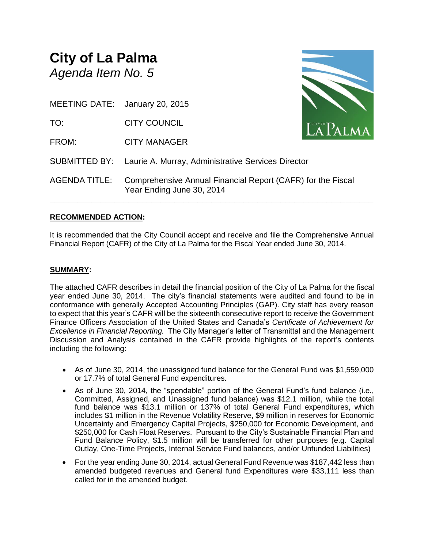## **City of La Palma** *Agenda Item No. 5*

MEETING DATE: January 20, 2015

TO: CITY COUNCIL

FROM: CITY MANAGER

SUBMITTED BY: Laurie A. Murray, Administrative Services Director AGENDA TITLE: Comprehensive Annual Financial Report (CAFR) for the Fiscal Year Ending June 30, 2014

## **RECOMMENDED ACTION:**

It is recommended that the City Council accept and receive and file the Comprehensive Annual Financial Report (CAFR) of the City of La Palma for the Fiscal Year ended June 30, 2014.

**\_\_\_\_\_\_\_\_\_\_\_\_\_\_\_\_\_\_\_\_\_\_\_\_\_\_\_\_\_\_\_\_\_\_\_\_\_\_\_\_\_\_\_\_\_\_\_\_\_\_\_\_\_\_\_\_\_\_\_\_\_\_\_\_\_\_\_\_\_\_**

## **SUMMARY:**

The attached CAFR describes in detail the financial position of the City of La Palma for the fiscal year ended June 30, 2014. The city's financial statements were audited and found to be in conformance with generally Accepted Accounting Principles (GAP). City staff has every reason to expect that this year's CAFR will be the sixteenth consecutive report to receive the Government Finance Officers Association of the United States and Canada's *Certificate of Achievement for Excellence in Financial Reporting.* The City Manager's letter of Transmittal and the Management Discussion and Analysis contained in the CAFR provide highlights of the report's contents including the following:

- As of June 30, 2014, the unassigned fund balance for the General Fund was \$1,559,000 or 17.7% of total General Fund expenditures.
- As of June 30, 2014, the "spendable" portion of the General Fund's fund balance (i.e., Committed, Assigned, and Unassigned fund balance) was \$12.1 million, while the total fund balance was \$13.1 million or 137% of total General Fund expenditures, which includes \$1 million in the Revenue Volatility Reserve, \$9 million in reserves for Economic Uncertainty and Emergency Capital Projects, \$250,000 for Economic Development, and \$250,000 for Cash Float Reserves. Pursuant to the City's Sustainable Financial Plan and Fund Balance Policy, \$1.5 million will be transferred for other purposes (e.g. Capital Outlay, One-Time Projects, Internal Service Fund balances, and/or Unfunded Liabilities)
- For the year ending June 30, 2014, actual General Fund Revenue was \$187,442 less than amended budgeted revenues and General fund Expenditures were \$33,111 less than called for in the amended budget.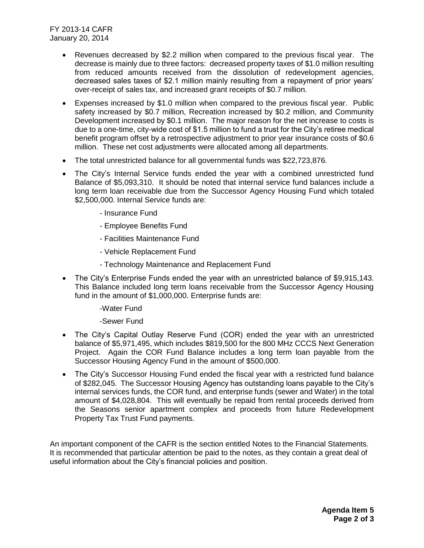FY 2013-14 CAFR January 20, 2014

- Revenues decreased by \$2.2 million when compared to the previous fiscal year. The decrease is mainly due to three factors: decreased property taxes of \$1.0 million resulting from reduced amounts received from the dissolution of redevelopment agencies, decreased sales taxes of \$2.1 million mainly resulting from a repayment of prior years' over-receipt of sales tax, and increased grant receipts of \$0.7 million.
- Expenses increased by \$1.0 million when compared to the previous fiscal year. Public safety increased by \$0.7 million, Recreation increased by \$0.2 million, and Community Development increased by \$0.1 million. The major reason for the net increase to costs is due to a one-time, city-wide cost of \$1.5 million to fund a trust for the City's retiree medical benefit program offset by a retrospective adjustment to prior year insurance costs of \$0.6 million. These net cost adjustments were allocated among all departments.
- The total unrestricted balance for all governmental funds was \$22,723,876.
- The City's Internal Service funds ended the year with a combined unrestricted fund Balance of \$5,093,310. It should be noted that internal service fund balances include a long term loan receivable due from the Successor Agency Housing Fund which totaled \$2,500,000. Internal Service funds are:
	- Insurance Fund
	- Employee Benefits Fund
	- Facilities Maintenance Fund
	- Vehicle Replacement Fund
	- Technology Maintenance and Replacement Fund
- The City's Enterprise Funds ended the year with an unrestricted balance of \$9,915,143. This Balance included long term loans receivable from the Successor Agency Housing fund in the amount of \$1,000,000. Enterprise funds are:
	- -Water Fund

-Sewer Fund

- The City's Capital Outlay Reserve Fund (COR) ended the year with an unrestricted balance of \$5,971,495, which includes \$819,500 for the 800 MHz CCCS Next Generation Project. Again the COR Fund Balance includes a long term loan payable from the Successor Housing Agency Fund in the amount of \$500,000.
- The City's Successor Housing Fund ended the fiscal year with a restricted fund balance of \$282,045. The Successor Housing Agency has outstanding loans payable to the City's internal services funds, the COR fund, and enterprise funds (sewer and Water) in the total amount of \$4,028,804. This will eventually be repaid from rental proceeds derived from the Seasons senior apartment complex and proceeds from future Redevelopment Property Tax Trust Fund payments.

An important component of the CAFR is the section entitled Notes to the Financial Statements. It is recommended that particular attention be paid to the notes, as they contain a great deal of useful information about the City's financial policies and position.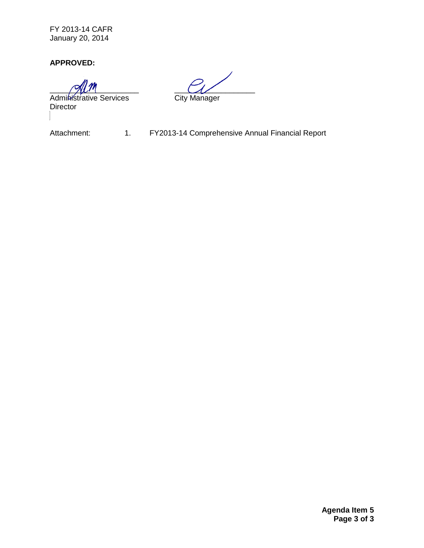FY 2013-14 CAFR January 20, 2014

**APPROVED:**

Administrative Services City Manager Director

\_\_\_\_\_\_\_\_\_\_\_\_\_\_\_\_\_\_\_\_\_ \_\_\_\_\_\_\_\_\_\_\_\_\_\_\_\_\_\_\_

Attachment: 1. FY2013-14 Comprehensive Annual Financial Report